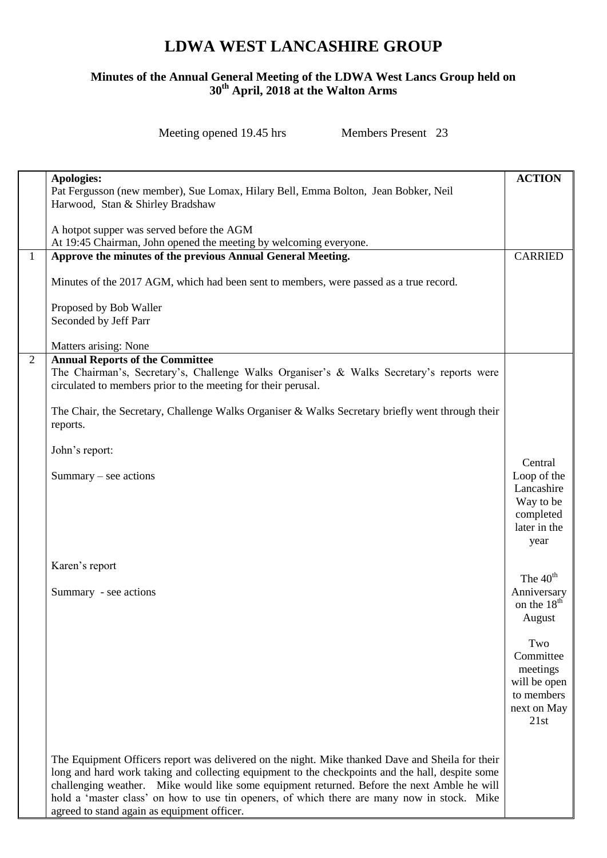## **LDWA WEST LANCASHIRE GROUP**

## **Minutes of the Annual General Meeting of the LDWA West Lancs Group held on 30th April, 2018 at the Walton Arms**

Meeting opened 19.45 hrs Members Present 23

|                | Apologies:                                                                                       | <b>ACTION</b>              |
|----------------|--------------------------------------------------------------------------------------------------|----------------------------|
|                | Pat Fergusson (new member), Sue Lomax, Hilary Bell, Emma Bolton, Jean Bobker, Neil               |                            |
|                | Harwood, Stan & Shirley Bradshaw                                                                 |                            |
|                |                                                                                                  |                            |
|                | A hotpot supper was served before the AGM                                                        |                            |
|                | At 19:45 Chairman, John opened the meeting by welcoming everyone.                                |                            |
| $\mathbf{1}$   | Approve the minutes of the previous Annual General Meeting.                                      | <b>CARRIED</b>             |
|                |                                                                                                  |                            |
|                | Minutes of the 2017 AGM, which had been sent to members, were passed as a true record.           |                            |
|                |                                                                                                  |                            |
|                | Proposed by Bob Waller                                                                           |                            |
|                | Seconded by Jeff Parr                                                                            |                            |
|                |                                                                                                  |                            |
|                | Matters arising: None                                                                            |                            |
| $\overline{2}$ | <b>Annual Reports of the Committee</b>                                                           |                            |
|                | The Chairman's, Secretary's, Challenge Walks Organiser's & Walks Secretary's reports were        |                            |
|                | circulated to members prior to the meeting for their perusal.                                    |                            |
|                |                                                                                                  |                            |
|                | The Chair, the Secretary, Challenge Walks Organiser & Walks Secretary briefly went through their |                            |
|                | reports.                                                                                         |                            |
|                | John's report:                                                                                   |                            |
|                |                                                                                                  | Central                    |
|                | $Summary - see actions$                                                                          | Loop of the                |
|                |                                                                                                  | Lancashire                 |
|                |                                                                                                  | Way to be                  |
|                |                                                                                                  | completed                  |
|                |                                                                                                  | later in the               |
|                |                                                                                                  | year                       |
|                |                                                                                                  |                            |
|                | Karen's report                                                                                   |                            |
|                |                                                                                                  | The $40th$                 |
|                | Summary - see actions                                                                            | Anniversary                |
|                |                                                                                                  | on the 18 <sup>th</sup>    |
|                |                                                                                                  | August                     |
|                |                                                                                                  |                            |
|                |                                                                                                  | Two                        |
|                |                                                                                                  | Committee                  |
|                |                                                                                                  | meetings                   |
|                |                                                                                                  | will be open<br>to members |
|                |                                                                                                  | next on May                |
|                |                                                                                                  | 21st                       |
|                |                                                                                                  |                            |
|                |                                                                                                  |                            |
|                | The Equipment Officers report was delivered on the night. Mike thanked Dave and Sheila for their |                            |
|                | long and hard work taking and collecting equipment to the checkpoints and the hall, despite some |                            |
|                | challenging weather. Mike would like some equipment returned. Before the next Amble he will      |                            |
|                | hold a 'master class' on how to use tin openers, of which there are many now in stock. Mike      |                            |
|                | agreed to stand again as equipment officer.                                                      |                            |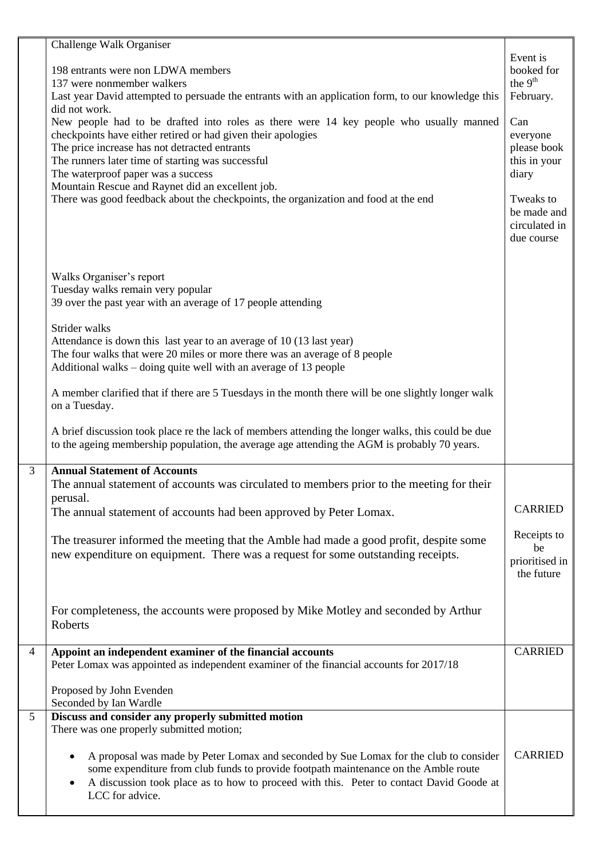|                | Challenge Walk Organiser<br>198 entrants were non LDWA members<br>137 were nonmember walkers<br>Last year David attempted to persuade the entrants with an application form, to our knowledge this<br>did not work.<br>New people had to be drafted into roles as there were 14 key people who usually manned<br>checkpoints have either retired or had given their apologies<br>The price increase has not detracted entrants<br>The runners later time of starting was successful<br>The waterproof paper was a success<br>Mountain Rescue and Raynet did an excellent job.<br>There was good feedback about the checkpoints, the organization and food at the end | Event is<br>booked for<br>the $9th$<br>February.<br>Can<br>everyone<br>please book<br>this in your<br>diary<br>Tweaks to<br>be made and<br>circulated in<br>due course |
|----------------|----------------------------------------------------------------------------------------------------------------------------------------------------------------------------------------------------------------------------------------------------------------------------------------------------------------------------------------------------------------------------------------------------------------------------------------------------------------------------------------------------------------------------------------------------------------------------------------------------------------------------------------------------------------------|------------------------------------------------------------------------------------------------------------------------------------------------------------------------|
|                | Walks Organiser's report<br>Tuesday walks remain very popular<br>39 over the past year with an average of 17 people attending<br>Strider walks<br>Attendance is down this last year to an average of 10 (13 last year)<br>The four walks that were 20 miles or more there was an average of 8 people<br>Additional walks – doing quite well with an average of 13 people                                                                                                                                                                                                                                                                                             |                                                                                                                                                                        |
|                | A member clarified that if there are 5 Tuesdays in the month there will be one slightly longer walk<br>on a Tuesday.<br>A brief discussion took place re the lack of members attending the longer walks, this could be due                                                                                                                                                                                                                                                                                                                                                                                                                                           |                                                                                                                                                                        |
|                | to the ageing membership population, the average age attending the AGM is probably 70 years.                                                                                                                                                                                                                                                                                                                                                                                                                                                                                                                                                                         |                                                                                                                                                                        |
| $\overline{3}$ | <b>Annual Statement of Accounts</b><br>The annual statement of accounts was circulated to members prior to the meeting for their<br>perusal.<br>The annual statement of accounts had been approved by Peter Lomax.                                                                                                                                                                                                                                                                                                                                                                                                                                                   | <b>CARRIED</b>                                                                                                                                                         |
|                | The treasurer informed the meeting that the Amble had made a good profit, despite some<br>new expenditure on equipment. There was a request for some outstanding receipts.                                                                                                                                                                                                                                                                                                                                                                                                                                                                                           | Receipts to<br>be<br>prioritised in<br>the future                                                                                                                      |
|                | For completeness, the accounts were proposed by Mike Motley and seconded by Arthur<br>Roberts                                                                                                                                                                                                                                                                                                                                                                                                                                                                                                                                                                        |                                                                                                                                                                        |
| $\overline{4}$ | Appoint an independent examiner of the financial accounts<br>Peter Lomax was appointed as independent examiner of the financial accounts for 2017/18                                                                                                                                                                                                                                                                                                                                                                                                                                                                                                                 | <b>CARRIED</b>                                                                                                                                                         |
|                | Proposed by John Evenden<br>Seconded by Ian Wardle                                                                                                                                                                                                                                                                                                                                                                                                                                                                                                                                                                                                                   |                                                                                                                                                                        |
| 5              | Discuss and consider any properly submitted motion<br>There was one properly submitted motion;<br>A proposal was made by Peter Lomax and seconded by Sue Lomax for the club to consider<br>٠<br>some expenditure from club funds to provide footpath maintenance on the Amble route<br>A discussion took place as to how to proceed with this. Peter to contact David Goode at<br>LCC for advice.                                                                                                                                                                                                                                                                    | <b>CARRIED</b>                                                                                                                                                         |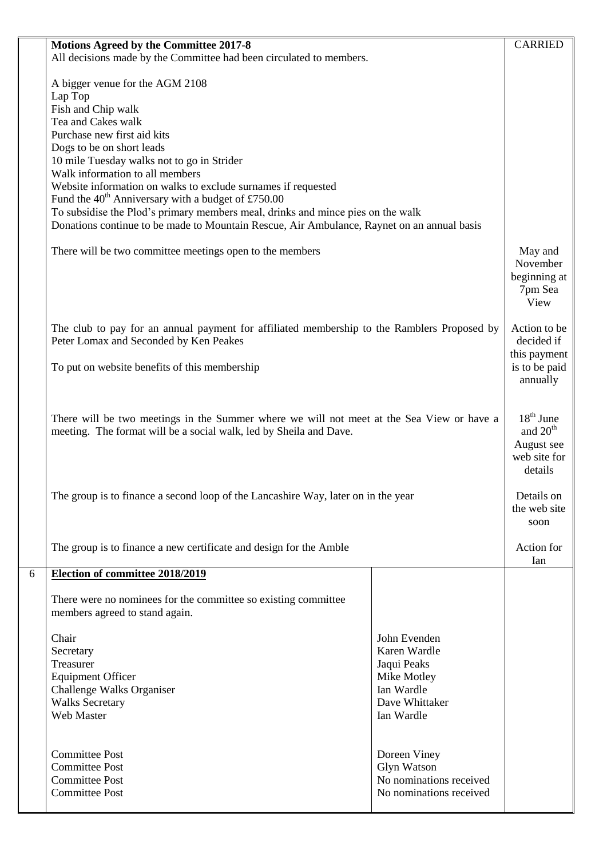|   | Motions Agreed by the Committee 2017-8                                                      |                                        | <b>CARRIED</b>            |
|---|---------------------------------------------------------------------------------------------|----------------------------------------|---------------------------|
|   | All decisions made by the Committee had been circulated to members.                         |                                        |                           |
|   |                                                                                             |                                        |                           |
|   | A bigger venue for the AGM 2108                                                             |                                        |                           |
|   | Lap Top                                                                                     |                                        |                           |
|   | Fish and Chip walk<br>Tea and Cakes walk                                                    |                                        |                           |
|   | Purchase new first aid kits                                                                 |                                        |                           |
|   | Dogs to be on short leads                                                                   |                                        |                           |
|   | 10 mile Tuesday walks not to go in Strider                                                  |                                        |                           |
|   | Walk information to all members                                                             |                                        |                           |
|   | Website information on walks to exclude surnames if requested                               |                                        |                           |
|   | Fund the $40^{\text{th}}$ Anniversary with a budget of £750.00                              |                                        |                           |
|   | To subsidise the Plod's primary members meal, drinks and mince pies on the walk             |                                        |                           |
|   | Donations continue to be made to Mountain Rescue, Air Ambulance, Raynet on an annual basis  |                                        |                           |
|   |                                                                                             |                                        | May and                   |
|   | There will be two committee meetings open to the members                                    |                                        | November                  |
|   |                                                                                             |                                        | beginning at              |
|   |                                                                                             |                                        | 7pm Sea                   |
|   |                                                                                             |                                        | View                      |
|   |                                                                                             |                                        |                           |
|   | The club to pay for an annual payment for affiliated membership to the Ramblers Proposed by |                                        | Action to be              |
|   | Peter Lomax and Seconded by Ken Peakes                                                      |                                        | decided if                |
|   |                                                                                             |                                        | this payment              |
|   | To put on website benefits of this membership                                               |                                        | is to be paid<br>annually |
|   |                                                                                             |                                        |                           |
|   |                                                                                             |                                        |                           |
|   | There will be two meetings in the Summer where we will not meet at the Sea View or have a   |                                        | $18th$ June               |
|   | meeting. The format will be a social walk, led by Sheila and Dave.                          |                                        | and $20th$                |
|   |                                                                                             |                                        | August see                |
|   |                                                                                             |                                        | web site for              |
|   |                                                                                             |                                        | details                   |
|   | The group is to finance a second loop of the Lancashire Way, later on in the year           |                                        | Details on                |
|   |                                                                                             |                                        | the web site              |
|   |                                                                                             |                                        | soon                      |
|   |                                                                                             |                                        | Action for                |
|   | The group is to finance a new certificate and design for the Amble                          |                                        |                           |
| 6 | Election of committee 2018/2019                                                             |                                        | Ian                       |
|   |                                                                                             |                                        |                           |
|   | There were no nominees for the committee so existing committee                              |                                        |                           |
|   | members agreed to stand again.                                                              |                                        |                           |
|   |                                                                                             |                                        |                           |
|   | Chair                                                                                       | John Evenden<br>Karen Wardle           |                           |
|   | Secretary<br>Treasurer                                                                      | Jaqui Peaks                            |                           |
|   | <b>Equipment Officer</b>                                                                    | Mike Motley                            |                           |
|   | Challenge Walks Organiser                                                                   | Ian Wardle                             |                           |
|   | <b>Walks Secretary</b>                                                                      | Dave Whittaker                         |                           |
|   | Web Master                                                                                  | Ian Wardle                             |                           |
|   |                                                                                             |                                        |                           |
|   |                                                                                             |                                        |                           |
|   | <b>Committee Post</b><br><b>Committee Post</b>                                              | Doreen Viney                           |                           |
|   | <b>Committee Post</b>                                                                       | Glyn Watson<br>No nominations received |                           |
|   | <b>Committee Post</b>                                                                       | No nominations received                |                           |
|   |                                                                                             |                                        |                           |